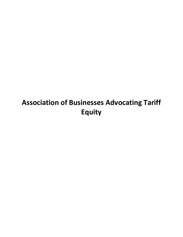# **Association of Businesses Advocating Tariff Equity**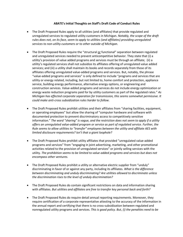#### **ABATE's Initial Thoughts on Staff's Draft Code of Conduct Rules**

- The Draft Proposed Rules apply to all utilities (and affiliates) that provide regulated and unregulated services to regulated utility customers in Michigan. *Notably, the scope of the draft rules does not, on its face, seem to apply to utilities (and affiliates) providing unregulated services to non-utility customers or to other outside of Michigan.*
- The Draft Proposed Rules require the "structural or functional" separation between regulated and unregulated services needed to prevent anticompetitive behavior. They state that (i) a utility's provision of value added programs and services must be through an affiliate; (ii) a utility's regulated services shall not subsidize its affiliates offering of unregulated value added services; and (iii) a utility shall maintain its books and records separately from those of its affiliates offering unregulated value-added programs and services. But, notably, the phrase "value-added programs and services" is only defined to include "programs and services that are utility or energy related, including, but not limited to, home comfort and protection, appliance service, building energy performance, alternative energy options, or engineering and construction services. Value-added programs and services do not include energy optimization or energy waste reduction programs paid for by utility customers as part of the regulated rates." *As Michigan has effected corporate separation for transmission, this seems somewhat permissive. It could make anti-cross subsidization rules harder to follow.*
- The Draft Proposed Rules prohibit utilities and their affiliates from "sharing facilities, equipment, or operating employees" but allow the sharing of "computer hardware and software with documented protection to prevent discriminatory access to competitively sensitive information." *The word "sharing" is vague, and the restriction does not seem to apply if a utility offers an unregulated value-added program or service as part of regulated service. Further, the Rule seems to allow utilities to "transfer" employees between the utility and affiliate AES with limited disclosure requirements? Isn't that a giant loophole?*
- The Draft Proposed Rules prohibit utility affiliates that provided "unregulated value-added programs and services" from "engaging in joint advertising, marketing, and other promotional activities related to the provision of unregulated services" or jointly selling services with the utility. *The prohibition seems to be limited to value-added programs and services but does not encompass other ventures.*
- The Draft Proposed Rules prohibit a utility or alternative electric supplier from "unduly" discriminating in favor of or against any party, including its affiliates. *What is the difference between discriminating and unduly discriminating? Are utilities allowed to discriminate unless the discrimination rises to the level of unduly discrimination?*
- The Draft Proposed Rules do contain significant restrictions on data and information sharing with affiliates. *But utilities and affiliates are free to transfer key personal back and forth?*
- The Draft Proposed Rules do require detail annual reporting requirements. Moreover, they require certification of a corporate representative attesting to the accuracy of the information in the annual report and certifying that there is no cross-subsidization between regulated and nonregulated utility programs and services. *This is good policy. But, (i) the penalties need to be*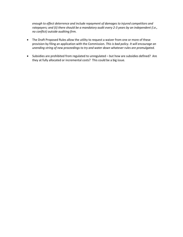*enough to effect deterrence and include repayment of damages to injured competitors and ratepayers; and (ii) there should be a mandatory audit every 2-3 years by an independent (i.e., no conflict) outside auditing firm.*

- The Draft Proposed Rules allow the utility to request a waiver from one or more of these provision by filing an application with the Commission. *This is bad policy. It will encourage an unending string of new proceedings to try and water down whatever rules are promulgated.*
- Subsidies are prohibited from regulated to unregulated but how are subsidies defined? Are they at fully allocated or incremental costs? This could be a big issue.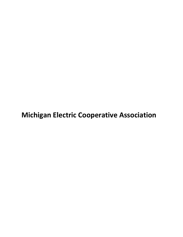**Michigan Electric Cooperative Association**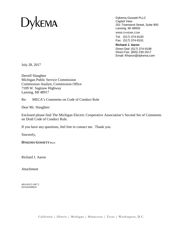

Dykema Gossett PLLC Capitol View 201 Townsend Street, Suite 900 Lansing, MI 48933

WWW.DYKEMA.COM

Tel: (517) 374-9100 Fax: (517) 374-9191

**Richard J. Aaron** Direct Dial: (517) 374-9198 Direct Fax: (855) 230-2517 Email: RAaron@dykema.com

July 28, 2017

Derrell Slaughter Michigan Public Service Commission Commission Analyst, Commission Office 7109 W. Saginaw Highway Lansing, MI 48917

Re: MECA's Comments on Code of Conduct Rule

Dear Mr. Slaughter:

Enclosed please find The Michigan Electric Cooperative Association's Second Set of Comments on Draft Code of Conduct Rule.

If you have any questions, feel free to contact me. Thank you.

Sincerely,

**DYKEMA GOSSETTPLLC**

Richard J. Aaron

Attachment

4814-8315-1947.2 025166\000024

California | Illinois | Michigan | Minnesota | Texas | Washington, D.C.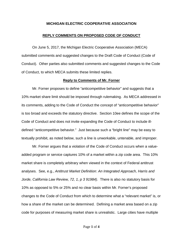#### **MICHIGAN ELECTRIC COOPERATIVE ASSOCIATION**

#### **REPLY COMMENTS ON PROPOSED CODE OF CONDUCT**

On June 5, 2017, the Michigan Electric Cooperative Association (MECA) submitted comments and suggested changes to the Draft Code of Conduct (Code of Conduct). Other parties also submitted comments and suggested changes to the Code of Conduct, to which MECA submits these limited replies.

#### **Reply to Comments of Mr. Forner**

Mr. Forner proposes to define "anticompetitive behavior" and suggests that a 10% market share limit should be imposed through rulemaking. As MECA addressed in its comments, adding to the Code of Conduct the concept of "anticompetitive behavior" is too broad and exceeds the statutory directive. Section 10ee defines the scope of the Code of Conduct and does not invite expanding the Code of Conduct to include illdefined "anticompetitive behavior." Just because such a "bright line" may be easy to textually prohibit, as noted below, such a line is unworkable, untenable, and improper.

Mr. Forner argues that a violation of the Code of Conduct occurs when a valueadded program or service captures 10% of a market within a zip code area. This 10% market share is completely arbitrary when viewed in the context of Federal antitrust analyses. See, e.g., *Antitrust Market Definition: An Integrated Approach, Harris and Jorde, California Law Review, 72, 1, p 3 91984).* There is also no statutory basis for 10% as opposed to 5% or 25% and no clear basis within Mr. Forner's proposed changes to the Code of Conduct from which to determine what a "relevant market" is, or how a share of the market can be determined. Defining a market area based on a zip code for purposes of measuring market share is unrealistic. Large cities have multiple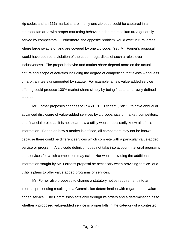zip codes and an 11% market share in only one zip code could be captured in a metropolitan area with proper marketing behavior in the metropolitan area generally served by competitors. Furthermore, the opposite problem would exist in rural areas where large swaths of land are covered by one zip code. Yet, Mr. Forner's proposal would have both be a violation of the code – regardless of such a rule's overinclusiveness. The proper behavior and market share depend more on the actual nature and scope of activities including the degree of competition that exists – and less on arbitrary tests unsupported by statute. For example, a new value added service offering could produce 100% market share simply by being first to a narrowly defined market.

Mr. Forner proposes changes to R 460.10110 *et seq*. (Part 5) to have annual or advanced disclosure of value-added services by zip code, size of market, competitors, and financial projects. It is not clear how a utility would necessarily know all of this information. Based on how a market is defined, all competitors may not be known because there could be different services which compete with a particular value-added service or program. A zip code definition does not take into account, national programs and services for which competition may exist. Nor would providing the additional information sought by Mr. Forner's proposal be necessary when providing "notice" of a utility's plans to offer value added programs or services.

Mr. Forner also proposes to change a statutory notice requirement into an informal proceeding resulting in a Commission determination with regard to the valueadded service. The Commission acts only through its orders and a determination as to whether a proposed value-added service is proper falls in the category of a contested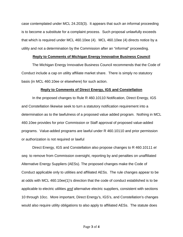case contemplated under MCL 24.203(3). It appears that such an informal proceeding is to become a substitute for a complaint process. Such proposal unlawfully exceeds that which is required under MCL 460.10ee (4). MCL 460.10ee (4) directs notice by a utility and not a determination by the Commission after an "informal" proceeding.

#### **Reply to Comments of Michigan Energy Innovative Business Council**

The Michigan Energy Innovative Business Council recommends that the Code of Conduct include a cap on utility affiliate market share. There is simply no statutory basis (in MCL 460.10ee or elsewhere) for such action.

### **Reply to Comments of Direct Energy, IGS and Constellation**

In the proposed changes to Rule R 460.10110 Notification, Direct Energy, IGS and Constellation likewise seek to turn a statutory notification requirement into a determination as to the lawfulness of a proposed value added program. Nothing in MCL 460.10ee provides for prior Commission or Staff approval of proposed value-added programs. Value-added programs are lawful under R 460.10110 and prior permission or authorization is not required or lawful

Direct Energy, IGS and Constellation also propose changes to R 460.10111 *et seq*. to remove from Commission oversight, reporting by and penalties on unaffiliated Alternative Energy Suppliers (AESs). The proposed changes make the Code of Conduct applicable only to utilities and affiliated AESs. The rule changes appear to be at odds with MCL 460.10ee(1)'s direction that the code of conduct established is to be applicable to electric utilities *and* alternative electric suppliers, consistent with sections 10 through 10cc. More important, Direct Energy's, IGS's, and Constellation's changes would also require utility obligations to also apply to affiliated AESs. The statute does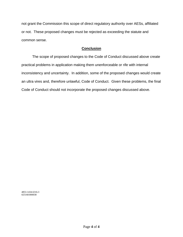not grant the Commission this scope of direct regulatory authority over AESs, affiliated or not. These proposed changes must be rejected as exceeding the statute and common sense.

# **Conclusion**

The scope of proposed changes to the Code of Conduct discussed above create practical problems in application making them unenforceable or rife with internal inconsistency and uncertainty. In addition, some of the proposed changes would create an ultra vires and, therefore unlawful, Code of Conduct. Given these problems, the final Code of Conduct should not incorporate the proposed changes discussed above.

4853-1434-6316.3 025166\000038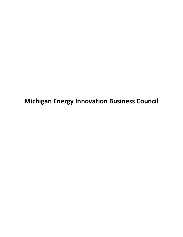**Michigan Energy Innovation Business Council**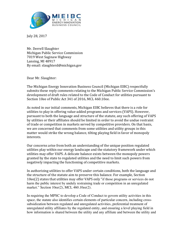

July 28, 2017

Mr. Derrell Slaughter Michigan Public Service Commission 7019 West Saginaw Highway Lansing, MI 48917 By email: slaughterd@michigan.gov

Dear Mr. Slaughter:

The Michigan Energy Innovation Business Council (Michigan EIBC) respectfully submits these reply comments relating to the Michigan Public Service Commission's development of draft rules related to the Code of Conduct for utilities pursuant to Section 10ee of Public Act 341 of 2016, MCL 460.10ee.

As noted in our initial comments, Michigan EIBC believes that there is a role for utilities to play in offering value-added programs and services (VAPS). However, pursuant to both the language and structure of the statute, any such offering of VAPS by utilities or their affiliates should be limited in order to avoid the undue restraint of trade or competition in markets served by competitive providers. On that basis, we are concerned that comments from some utilities and utility groups in this matter would strike the wrong balance, tilting playing field in favor of monopoly interests.

Our concerns arise from both an understanding of the unique position regulated utilities play within our energy landscape and the statutory framework under which utilities may offer VAPS. A delicate balance exists between the monopoly powers granted by the state to regulated utilities and the need to limit such powers from negatively impacting the functioning of competitive markets.

In authorizing utilities to offer VAPS under certain conditions, both the language and the structure of the statute aim to preserve this balance. For example, Section 10ee(2) states that utilities may offer VAPS only "if those programs or services do not harm the public interest by unduly restraining trade or competition in an unregulated market." Section 10ee(2), MCL 460.10ee(2).

In requiring the MPSC to develop a Code of Conduct to govern utility activities in this space, the statute also identifies certain elements of particular concern, including crosssubsidization between regulated and unregulated activities, preferential treatment of unregulated utility affiliates by the regulated entity, and ensuring a level playing field in how information is shared between the utility and any affiliate and between the utility and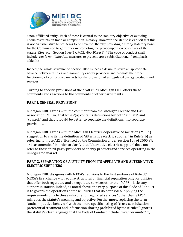

a non-affiliated entity. Each of these is central to the statutory objective of avoiding undue restraints on trade or competition. Notably, however, the statute is explicit that this is not an exhaustive list of items to be covered, thereby providing a strong statutory basis for the Commission to go further in promoting the pro-competition objectives of the statute. (See, *e.g.*, Section 10ee(1), MCL 460.10.ee(1), "The code of conduct shall include, *but is not limited to*, measures to prevent cross-subisidization…" (emphasis added).)

Indeed, the whole structure of Section 10ee evinces a desire to strike an appropriate balance between utilities and non-utility energy providers and promote the proper functioning of competitive markets for the provision of unregulated energy products and services.

Turning to specific provisions of the draft rules, Michigan EIBC offers these comments and reactions to the comments of other participants:

## **PART I. GENERAL PROVISIONS**

Michigan EIBC agrees with the comment from the Michigan Electric and Gas Association (MEGA) that Rule  $2(a)$  contains definitions for both "affiliate" and "control," and that it would be better to separate the definitions into separate provisions. 

Michigan EIBC agrees with the Michigan Electric Cooperative Association (MECA) suggestion to clarify the definition of "Alternative electric supplier" in Rule  $2(b)$  as referring to those AESs "licensed by the Commission under Section 10a of 2000 PA 141, as amended" in order to clarify that "alternative electric supplier" does not refer to those third-party providers of energy products and services operating in the unregulated market.

## **PART 2. SEPARATION OF A UTILITY FROM ITS AFFILIATE AND ALTERNATIVE ELECTRIC SUPPLIERS**

Michigan EIBC disagrees with MECA's revisions to the first sentence of Rule 3(1).  $MECA's$  first change  $-$  to require structural or financial separation only for utilities that offer both regulated and unregulated services other than VAPS – lacks any support in statute. Indeed, as noted above, the very purpose of this Code of Conduct is to govern the operations of those utilities that do offer VAPS. Applying the requirements only to those who offer unregulated services "other than VAPS" misreads the statute's meaning and objective. Furthermore, replacing the term "anticompetitive behavior" with the more specific listing of "cross-subsidization, preferential treatment and information sharing prohibited by these rules" ignores the statute's clear language that the Code of Conduct include, *but is not limited to*,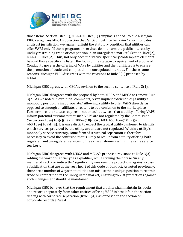

those items. Section  $10ee(1)$ , MCL  $460.10ee(1)$  (emphasis added). While Michigan EIBC recognizes MECA's objection that "anticompetitive behavior" also implicates antitrust jurisdiction, we again highlight the statutory condition that utilities can offer VAPS only "if those programs or services do not harm the public interest by unduly restraining trade or competition in an unregulated market." Section 10ee(2), MCL  $460.10ee(2)$ . Thus, not only does the statute specifically contemplate elements beyond those specifically listed, the focus of the statutory requirement of a Code of Conduct to govern the offering of VAPS by utilities and their affiliates is to ensure the promotion of trade and competition in unregulated markets. For these same reasons, Michigan EIBC disagrees with the revisions to Rule  $3(1)$  proposed by MEGA.

Michigan EIBC agrees with MECA's revision to the second sentence of Rule  $3(1)$ .

Michigan EIBC disagrees with the proposal by both MEGA and MECA to remove Rule  $3(2)$ . As we noted in our initial comments, "even implicit extension of [a utility's] monopoly position is inappropriate." Allowing a utility to offer VAPS directly, as opposed to through an affiliate, threatens to add confusion to the marketplace. Furthermore, the statute requires  $-$  not once, but twice  $-$  that a utility offering VAPS inform potential customers that such VAPS are not regulated by the Commission. *See* Section 10ee(10)(c)(ii) and 100ee(10(d)(ii), MCL 460.10ee(10)(c)(ii),  $460.10$ ee $(10)(d)(ii)$ . It is unrealistic to expect the typical utility customer to identify which services provided by the utility are and are not regulated. Within a utility's monopoly service territory, some form of structural separation is therefore necessary to avoid the confusion that is likely to result from a utility offering both regulated and unregulated services to the same customers within the same service territory. 

Michigan EIBC disagrees with MEGA and MECA's proposed revisions to Rule 3(3). Adding the word "financially" as a qualifier, while striking the phrase "in any manner, directly or indirectly," significantly weakens the protections against crosssubsidization that are at the very heart of this Code of Conduct. As noted previously, there are a number of ways that utilities can misuse their unique position to restrain trade or competition in the unregulated market; ensuring robust protections against such infringement should be maintained.

Michigan EIBC believes that the requirement that a utility shall maintain its books and records separately from other entities offering VAPS is best left in the section dealing with corporate separation (Rule  $3(4)$ ), as opposed to the section on corporate records (Rule 4).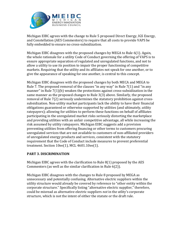

Michigan EIBC agrees with the change to Rule 5 proposed Direct Energy, IGS Energy, and Constellation (AES Commenters) to require that all costs to provide VAPS be fully embedded to ensure no cross-subsidization.

Michigan EIBC disagrees with the proposed changes by MEGA to Rule  $6(1)$ . Again, the whole rationale for a utility Code of Conduct governing the offering of VAPS is to ensure appropriate separation of regulated and unregulated functions, and not to allow a utility to use its position to impair the proper functioning of competitive markets. Requiring that the utility and its affiliates not speak for one another, or to give the appearance of speaking for one another, is central to this concept.

Michigan EIBC disagrees with the proposed changes by both MECA and MEGA to Rule 7. The proposed removal of the clauses "in any way" in Rule  $7(1)$  and "in any manner" in Rule  $7(1)(b)$  weaken the protections against cross-subsidization in the same manner as the proposed changes to Rule 3(3) above. Similarly, the proposed removal of Rule 7(2) seriously undermines the statutory prohibition against crosssubsidization. Non-utility market participants lack the ability to have their financial obligations guaranteed or otherwise supported by utilities (and ultimately, utility ratepayers); allowing for utilities to perform these functions on behalf of affiliates participating in the unregulated market risks seriously distorting the marketplace and providing utilities with an unfair competitive advantage, all while increasing the risk assumed by utility ratepayers. Michigan EIBC suggests add a provision preventing utilities from offering financing or other terms to customers procuring unregulated services that are not available to customers of non-affiliated providers of unregulated energy products and services, consistent with the statutory requirement that the Code of Conduct include measures to prevent preferential treatment. Section 10ee(1), MCL 4601.10ee(1).

## **PART 3. DISCRIMINATION**

Michigan EIBC agrees with the clarification to Rule  $8(1)$  proposed by the AES Commenters (as well as the similar clarification in Rule  $6(2)$ ).

Michigan EIBC disagrees with the changes to Rule 8 proposed by MEGA as unnecessary and potentially confusing. Alternative electric suppliers within the utility structure would already be covered by reference to "other entity within the corporate structure." Specifically listing "alternative electric supplier," therefore, could be misread as alternative electric suppliers *not* in the utlity's corporate structure, which is not the intent of either the statute or the draft rule.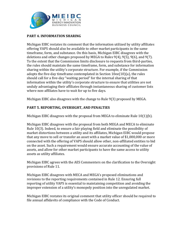

## **PART 4. INFORMATION SHARING**

Michigan EIBC restates its comment that the information utilized by utility affiliates offering VAPS should also be available to other market participants in the same timeframe, form, and substance. On this basis, Michigan EIBC disagrees with the deletions and other changes proposed by MEGA to Rules  $9(4)$ ,  $9(5)$ ,  $9(6)$ , and  $9(7)$ . To the extent that the Commission limits disclosure to requests from third-parties, the rules should maintain the same timeframe, form, and substance for information sharing within the utility's corporate structure. For example, if the Commission adopts the five-day timeframe contemplated in Section  $10ee(10)(a)$ , the rules should call for a five-day "waiting period" for the internal sharing of that information within the utility's corporate structure to ensure that utilities are not unduly advantaging their affiliates through instantaneous sharing of customer lists where non-affiliates have to wait for up to five days.

Michigan EIBC also disagrees with the change to Rule  $9(3)$  proposed by MEGA.

## **PART 5. REPORTING, OVERSIGHT, AND PENALTIES**

Michigan EIBC disagrees with the proposal from MEGA to eliminate Rule  $10(1)(b)$ .

Michigan EIBC disagrees with the proposal from both MEGA and MECA to eliminate Rule 10(3). Indeed, to ensure a fair playing field and eliminate the possibility of market distortions between a utility and its affiliates, Michigan EIBC would propose that any move to sell or transfer an asset with a market value of \$1,000,000 or more connected with the offering of VAPS should allow other, non-affiliated entities to bid on the asset. Such a requirement would ensure accurate accounting of the value of assets, and allow for other market participants to have the same access to utility assets as utility affiliates.

Michigan EIBC agrees with the AES Commenters on the clarification to the Oversight provisions of Rule 11.

Michigan EIBC disagrees with MECA and MEGA's proposed eliminations and revisions to the reporting requirements contained in Rule 12. Ensuring full reporting of utility VAPS is essential to maintaining competition and avoiding the improper extension of a utility's monopoly position into the unregulated market.

Michigan EIBC restates its original comment that utility officer should be required to file annual affidavits of compliance with the Code of Conduct.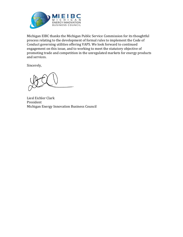

Michigan EIBC thanks the Michigan Public Service Commission for its thoughtful process relating to the development of formal rules to implement the Code of Conduct governing utilities offering VAPS. We look forward to continued engagement on this issue, and to working to meet the statutory objective of promoting trade and competition in the unregulated markets for energy products and services.

Sincerely, 

Liesl Eichler Clark President Michigan Energy Innovation Business Council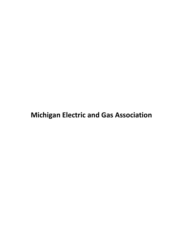# **Michigan Electric and Gas Association**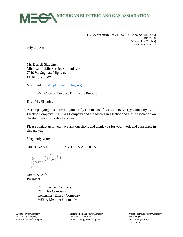

110 W. Michigan Ave., Suite 375, Lansing, MI 48933 517.484.7730 517.484.5020 (fax) www.gomega.org

July 28, 2017

Mr. Derrell Slaughter Michigan Public Service Commission 7019 W. Saginaw Highway Lansing, MI 48917

Via email to: [slaughterd@michigan.gov](mailto:slaughterd@michigan.gov)

Re: Code of Conduct Draft Rule Proposal

Dear Mr. Slaughter:

Accompanying this letter are joint reply comments of Consumers Energy Company, DTE Electric Company, DTE Gas Company and the Michigan Electric and Gas Association on the draft rules for code of conduct.

Please contact us if you have any questions and thank you for your work and assistance in this matter.

Very truly yours,

#### MICHIGAN ELECTRIC AND GAS ASSOCIATION

James alult

James A. Ault President

cc: DTE Electric Company DTE Gas Company Consumers Energy Company MEGA Member Companies

Alpena Power Company **Indiana Michigan Power Company Indiana Power Company Indiana Michigan Power Company Indiana Power Company Aurora Gas Company Aurora Gas Company Aurora Gas Company Indiana Bower Company India** Michigan Gas Utilities Citizens Gas Fuel Company SEMCO Energy Gas Company WEC Energy Group

Xcel Energy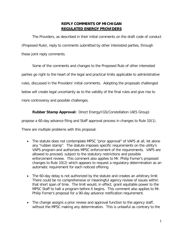# **REPLY COMMENTS OF MICHIGAN REGULATED ENERGY PROVIDERS**

The Providers, as described in their initial comments on the draft code of conduct (Proposed Rule), reply to comments submitted by other interested parties, through these joint reply comments.

Some of the comments and changes to the Proposed Rule of other interested parties go right to the heart of the legal and practical limits applicable to administrative rules, discussed in the Providers' initial comments. Adopting the proposals challenged below will create legal uncertainty as to the validity of the final rules and give rise to more controversy and possible challenges.

**Rubber Stamp Approval:** Direct Energy/IGS/Constellation (AES Group)

propose a 60-day advance filing and Staff approval process in changes to Rule 10(1).

There are multiple problems with this proposal:

- The statute does not contemplate MPSC "prior approval" of VAPS at all, let alone any "rubber stamp". The statute imposes specific requirements on the utility's VAPS program and authorizes MPSC enforcement of the requirements. VAPS are allowed to proceed, subject to the statutory restrictions and possible enforcement review. This comment also applies to Mr. Philip Forner's proposed changes to Rule 10(2) which appears to request a regulatory determination as an automatic requirement for each noticed offering.
- The 60-day delay is not authorized by the statute and creates an arbitrary limit. There could be no comprehensive or meaningful agency review of issues within that short span of time. The limit would, in effect, grant equitable power to the MPSC Staff to halt a program before it begins. This comment also applies to Mr. Philip Forner's proposal for a 90-day advance notification requirement.
- The change assigns a prior review and approval function to the agency staff, without the MPSC making any determination. This is unlawful as contrary to the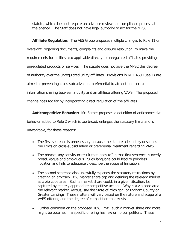statute, which does not require an advance review and compliance process at the agency. The Staff does not have legal authority to act for the MPSC.

**Affiliate Regulation:** The AES Group proposes multiple changes to Rule 11 on oversight, regarding documents, complaints and dispute resolution, to make the requirements for utilities also applicable directly to unregulated affiliates providing unregulated products or services. The statute does not give the MPSC this degree of authority over the unregulated utility affiliates. Provisions in MCL 460.10ee(1) are aimed at preventing cross-subsidization, preferential treatment and certain information sharing between a utility and an affiliate offering VAPS. The proposed change goes too far by incorporating direct regulation of the affiliates.

**Anticompetitive Behavior:** Mr. Forner proposes a definition of anticompetitive behavior added to Rule 2 which is too broad, enlarges the statutory limits and is unworkable, for these reasons:

- The first sentence is unnecessary because the statute adequately describes the limits on cross-subsidization or preferential treatment regarding VAPS.
- The phrase "any activity or result that leads to" in that first sentence is overly broad, vague and ambiguous. Such language could lead to pointless litigation and fails to adequately describe the scope of limitation.
- The second sentence also unlawfully expands the statutory restrictions by creating an arbitrary 10% market share cap and defining the relevant market as a zip code area. Such a market share could, in a given situation, be captured by entirely appropriate competitive actions. Why is a zip code area the relevant market, versus, say the State of Michigan, or Ingham County or Greater Lansing? These matters will vary based on the nature and scope of a VAPS offering and the degree of competition that exists.
- Further comment on the proposed 10% limit: such a market share and more might be obtained if a specific offering has few or no competitors. These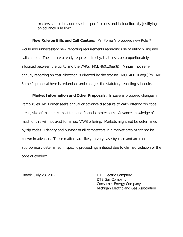matters should be addressed in specific cases and lack uniformity justifying an advance rule limit.

**New Rule on Bills and Call Centers:** Mr. Forner's proposed new Rule 7 would add unnecessary new reporting requirements regarding use of utility billing and call centers. The statute already requires, directly, that costs be proportionately allocated between the utility and the VAPS. MCL 460.10ee(8). Annual, not semiannual, reporting on cost allocation is directed by the statute. MCL 460.10ee(6)(c). Mr. Forner's proposal here is redundant and changes the statutory reporting schedule.

**Market Information and Other Proposals:** In several proposed changes in Part 5 rules, Mr. Forner seeks annual or advance disclosure of VAPS offering zip code areas, size of market, competitors and financial projections. Advance knowledge of much of this will not exist for a new VAPS offering. Markets might not be determined by zip codes. Identity and number of all competitors in a market area might not be known in advance. These matters are likely to vary case-by-case and are more appropriately determined in specific proceedings initiated due to claimed violation of the code of conduct.

Dated: July 28, 2017 DTE Electric Company DTE Gas Company Consumer Energy Company Michigan Electric and Gas Association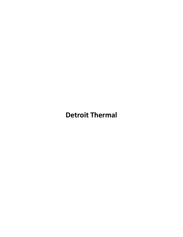# **Detroit Thermal**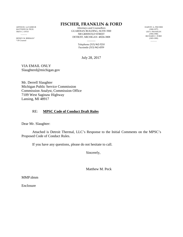ARTHUR J. LeVASSEUR MATTHEW M. PECK TROY C. OTTO  $\sim$   $\sim$ 

SIDNEY M. BERMAN\* \* Of Counsel

# **FISCHER, FRANKLIN & FORD**

Attorneys and Counsellors GUARDIAN BUILDING, SUITE 3500 500 GRISWOLD STREET DETROIT, MICHIGAN 48226-3808

> $\overline{\phantom{a}}$ Telephone (313) 962-5210 Facsimile (313) 962-4559

July 28, 2017

VIA EMAIL ONLY Slaughterd@michigan.gov

Mr. Derrell Slaughter Michigan Public Service Commission Commission Analyst, Commission Office 7109 West Saginaw Highway Lansing, MI 48917

## RE: **MPSC Code of Conduct Draft Rules**

Dear Mr. Slaughter:

Attached is Detroit Thermal, LLC's Response to the Initial Comments on the MPSC's Proposed Code of Conduct Rules.

If you have any questions, please do not hesitate to call.

Sincerely,

Matthew M. Peck

MMP:dmm

Enclosure

HARVEY A. FISCHER (1900-1977) LEO I. FRANKLIN (1904-1980) RICHARD C. FORD (1903-1985)

 $\overline{\phantom{a}}$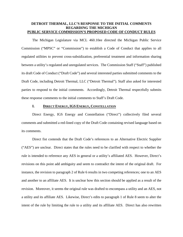### **DETROIT THERMAL, LLC'S RESPONSE TO THE INITIAL COMMENTS REGARDING THE MICHIGAN PUBLIC SERVICE COMMISSION'S PROPOSED CODE OF CONDUCT RULES**

The Michigan Legislature via MCL 460.10ee directed the Michigan Public Service Commission ("MPSC" or "Commission") to establish a Code of Conduct that applies to all regulated utilities to prevent cross-subsidization, preferential treatment and information sharing between a utility's regulated and unregulated services. The Commission Staff ("Staff") published its draft Code of Conduct ("Draft Code") and several interested parties submitted comments to the Draft Code, including Detroit Thermal, LLC ("Detroit Thermal"). Staff also asked for interested parties to respond to the initial comments. Accordingly, Detroit Thermal respectfully submits these response comments to the initial comments to Staff's Draft Code.

#### **I. DIRECT ENERGY, IGS ENERGY, CONSTELLATION**

Direct Energy, IGS Energy and Constellation ("Direct") collectively filed several comments and submitted a red-lined copy of the Draft Code containing revised language based on its comments.

Direct fist contends that the Draft Code's references to an Alternative Electric Supplier ("AES") are unclear. Direct states that the rules need to be clarified with respect to whether the rule is intended to reference any AES in general or a utility's affiliated AES. However, Direct's revisions on this point add ambiguity and seem to contradict the intent of the original draft. For instance, the revision to paragraph 2 of Rule 6 results in two competing references; one to an AES and another to an affiliate AES. It is unclear how this section should be applied as a result of the revision. Moreover, it seems the original rule was drafted to encompass a utility and an AES, not a utility and its affiliate AES. Likewise, Direct's edits to paragraph 1 of Rule 8 seem to alter the intent of the rule by limiting the rule to a utility and its affiliate AES. Direct has also rewritten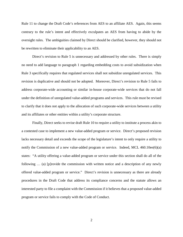Rule 11 to change the Draft Code's references from AES to an affiliate AES. Again, this seems contrary to the rule's intent and effectively exculpates an AES from having to abide by the oversight rules. The ambiguities claimed by Direct should be clarified, however, they should not be rewritten to eliminate their applicability to an AES.

Direct's revision to Rule 5 is unnecessary and addressed by other rules. There is simply no need to add language to paragraph 1 regarding embedding costs to avoid subsidization when Rule 3 specifically requires that regulated services shall not subsidize unregulated services. This revision is duplicative and should not be adopted. Moreover, Direct's revision to Rule 5 fails to address corporate-wide accounting or similar in-house corporate-wide services that do not fall under the definition of unregulated value-added programs and services. This rule must be revised to clarify that it does not apply to the allocation of such corporate-wide services between a utility and its affiliates or other entities within a utility's corporate structure.

Finally, Direct seeks to revise draft Rule 10 to require a utility to institute a process akin to a contested case to implement a new value-added program or service. Direct's proposed revision lacks necessary detail and exceeds the scope of the legislature's intent to only require a utility to notify the Commission of a new value-added program or service. Indeed, MCL  $460.10$ ee $(6)(a)$ states: "A utility offering a value-added program or service under this section shall do all of the following … (a) [p]rovide the commission with written notice and a description of any newly offered value-added program or service." Direct's revision is unnecessary as there are already procedures in the Draft Code that address its compliance concerns and the statute allows an interested party to file a complaint with the Commission if it believes that a proposed value-added program or service fails to comply with the Code of Conduct.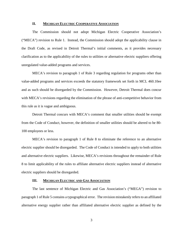#### **II. MICHIGAN ELECTRIC COOPERATIVE ASSOCIATION**

The Commission should not adopt Michigan Electric Cooperative Association's ("MECA") revision to Rule 1. Instead, the Commission should adopt the applicability clause in the Draft Code, as revised in Detroit Thermal's initial comments, as it provides necessary clarification as to the applicability of the rules to utilities or alternative electric suppliers offering unregulated value-added programs and services.

MECA's revision to paragraph 1 of Rule 3 regarding regulation for programs other than value-added programs and services exceeds the statutory framework set forth in MCL 460.10ee and as such should be disregarded by the Commission. However, Detroit Thermal does concur with MECA's revisions regarding the elimination of the phrase of anti-competitive behavior from this rule as it is vague and ambiguous.

Detroit Thermal concurs with MECA's comment that smaller utilities should be exempt from the Code of Conduct, however, the definition of smaller utilities should be altered to be 80- 100 employees or less.

MECA's revision to paragraph 1 of Rule 8 to eliminate the reference to an alternative electric supplier should be disregarded. The Code of Conduct is intended to apply to both utilities and alternative electric suppliers. Likewise, MECA's revisions throughout the remainder of Rule 8 to limit applicability of the rules to affiliate alternative electric suppliers instead of alternative electric suppliers should be disregarded.

#### **III. MICHIGAN ELECTRIC AND GAS ASSOCIATION**

The last sentence of Michigan Electric and Gas Association's ("MEGA") revision to paragraph 1 of Rule 5 contains a typographical error. The revision mistakenly refers to an affiliated alternative energy supplier rather than affiliated alternative electric supplier as defined by the

3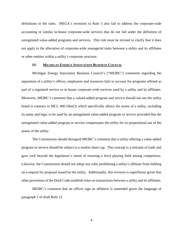definitions in the rules. MEGA's revisions to Rule 5 also fail to address the corporate-wide accounting or similar in-house corporate-wide services that do not fall under the definition of unregulated value-added programs and services. This rule must be revised to clarify that it does not apply to the allocation of corporate-wide managerial tasks between a utility and its affiliates or other entities within a utility's corporate structure.

#### **IV. MICHIGAN ENERGY INNOVATION BUSINESS COUNCIL**

Michigan Energy Innovation Business Council's ("MEIBC") comments regarding the separation of a utility's offices, employees and resources fails to account for programs offered as part of a regulated service or in-house corporate-wide services used by a utility and its affiliates. Moreover, MEIBC's comment that a valued-added program and service should not use the utility brand is contrary to MCL 460.10ee(3) which specifically allows the assets of a utility, including its name and logo, to be used by an unregulated value-added program or service provided that the unregulated value-added program or service compensates the utility for its proportional use of the assets of the utility.

The Commission should disregard MEIBC's comment that a utility offering a value-added program or service should be subject to a market share cap. This concept is a restraint of trade and goes well beyond the legislature's intent of ensuring a level playing field among competitors. Likewise, the Commission should not adopt any rules prohibiting a utility's affiliate from bidding on a request for proposal issued by the utility. Additionally, this revision is superfluous given that other provisions of the Draft Code establish rules on transactions between a utility and its affiliates.

MEIBC's comment that an officer sign an affidavit is unneeded given the language of paragraph 2 of draft Rule 12.

4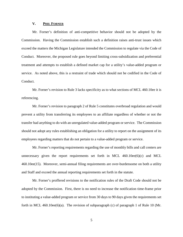#### **V. PHIL FORNER**

Mr. Forner's definition of anti-competitive behavior should not be adopted by the Commission. Having the Commission establish such a definition raises anti-trust issues which exceed the matters the Michigan Legislature intended the Commission to regulate via the Code of Conduct. Moreover, the proposed rule goes beyond limiting cross-subsidization and preferential treatment and attempts to establish a defined market cap for a utility's value-added program or service. As noted above, this is a restraint of trade which should not be codified in the Code of Conduct.

Mr. Forner's revision to Rule 3 lacks specificity as to what sections of MCL 460.10ee it is referencing.

Mr. Forner's revision to paragraph 2 of Rule 5 constitutes overbroad regulation and would prevent a utility from transferring its employees to an affiliate regardless of whether or not the transfer had anything to do with an unregulated value-added program or service. The Commission should not adopt any rules establishing an obligation for a utility to report on the assignment of its employees regarding matters that do not pertain to a value-added program or service.

Mr. Forner's reporting requirements regarding the use of monthly bills and call centers are unnecessary given the report requirements set forth in MCL  $460.10ee(6)(c)$  and MCL 460.10ee(15). Moreover, semi-annual filing requirements are over-burdensome on both a utility and Staff and exceed the annual reporting requirements set forth in the statute.

Mr. Forner's proffered revisions to the notification rules of the Draft Code should not be adopted by the Commission. First, there is no need to increase the notification time-frame prior to instituting a value-added program or service from 30 days to 90 days given the requirements set forth in MCL 460.10ee(6)(a). The revision of subparagraph (c) of paragraph 1 of Rule 10 (Mr.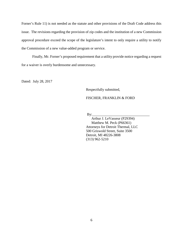Forner's Rule 11) is not needed as the statute and other provisions of the Draft Code address this issue. The revisions regarding the provision of zip codes and the institution of a new Commission approval procedure exceed the scope of the legislature's intent to only require a utility to notify the Commission of a new value-added program or service.

Finally, Mr. Forner's proposed requirement that a utility provide notice regarding a request for a waiver is overly burdensome and unnecessary.

Dated: July 28, 2017

Respectfully submitted,

FISCHER, FRANKLIN & FORD

By:\_\_\_\_\_\_\_\_\_\_\_\_\_\_\_\_\_\_\_\_\_\_\_\_\_\_\_\_\_\_\_\_

 Arthur J. LeVasseur (P29394) Matthew M. Peck (P66361) Attorneys for Detroit Thermal, LLC 500 Griswold Street, Suite 3500 Detroit, MI 48226-3808 (313) 962-5210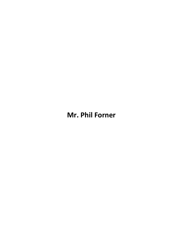# **Mr. Phil Forner**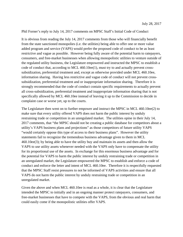#### Phil Forner's reply to July 14, 2017 comments on MPSC Staff's Initial Code of Conduct

It is obvious from reading the July 14, 2017 comments from those who will financially benefit from the state sanctioned monopolies (i.e. the utilities) being able to offer one or more value added program and service (VAPS) would prefer the proposed code of conduct to be as least restrictive and vague as possible. However being fully aware of the potential harm to ratepayers, consumers, and free-market businesses when allowing monopolistic utilities to venture outside of the regulated utility business, the Legislature empowered and instructed the MPSC to establish a code of conduct that, according to MCL 460.10ee(1), must try to and actually prevent crosssubsidization, preferential treatment and, except as otherwise provided under MCL 460.10ee, information sharing. Having less restrictive and vague code of conduct will not prevent crosssubsidization, preferential treatment and or inappropriate information sharing. Therefore it is strongly recommended that the code of conduct contain specific requirements to actually prevent all cross-subsidization, preferential treatment and inappropriate information sharing that is not specifically allowed by MCL 460.10ee instead of leaving it up to the Commission to decide in complaint case or worse yet, up to the courts.

The Legislature then went on to further empower and instruct the MPSC in MCL 460.10ee(2) to make sure that every utility offered VAPS does not harm the public interest by unduly restraining trade or competition in an unregulated market. The utilities opine in their July 14, 2017 comments, that "the MPSC should not be creating a public database for competitors about a utility's VAPS business plans and projections" as those competitors of future utility VAPS "would certainly oppose this type of access to their business plans". However the utility statements fail to recognize the tremendous business advantage given to them in MCL 460.10ee(3); by being able to have the utility buy and maintain its assets and then allow the VAPS to use utility assets whenever needed with the VAPS only have to compensate the utility for its proportional use of the assets. In exchange for this enormous business advantage and for the potential for VAPS to harm the public interest by unduly restraining trade or competition in an unregulated market, the Legislature empowered the MPSC to establish and enforce a code of conduct and enforce the letter and intent of MCL 460.10ee. Therefore it is respectfully requested that the MPSC Staff resist pressures to not be informed of VAPS activities and ensure that all VAPS do not harm the public interest by unduly restraining trade or competition in an unregulated market.

Given the above and when MCL 460.10ee is read as a whole, it is clear that the Legislature intended the MPSC to initially and in an ongoing manner protect ratepayers, consumers, and free-market businesses that have to compete with the VAPS, from the obvious and real harm that could easily come if the monopolistic utilities offer VAPS.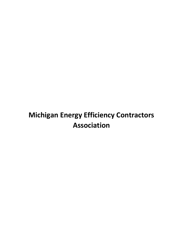# **Michigan Energy Efficiency Contractors Association**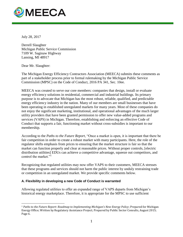

July 28, 2017

Derrell Slaughter Michigan Public Service Commission 7109 W. Saginaw Highway Lansing, MI 48917

Dear Mr. Slaughter:

 $\overline{a}$ 

The Michigan Energy Efficiency Contractors Association (MEECA) submits these comments as part of a stakeholder process prior to formal rulemaking by the Michigan Public Service Commission (MPSC) on the Code of Conduct, 2016 PA 341, Sec. 10ee.

MEECA was created to serve our core members: companies that design, install or evaluate energy efficiency solutions in residential, commercial and industrial buildings. Its primary purpose is to advocate that Michigan has the most robust, reliable, qualified, and predictable energy efficiency industry in the nation. Many of our members are small businesses that have been operating in established unregulated markets for many years. Most of these companies do not enjoy the significant marketing, institutional, and operational advantages of the much larger utility providers that have been granted permission to offer new value-added programs and services (VAPS) in Michigan. Therefore, establishing and enforcing an effective Code of Conduct that supports a fair, functioning market without cross-subsidies is important to our membership.

According to the *Paths to the Future Report*, "Once a market is open, it is important that there be fair competition in order to create a robust market with many participants. Here, the role of the regulator shifts emphasis from prices to ensuring that the market structure is fair so that the market can function properly and clear at reasonable prices. Without proper controls, [electric distribution utilities] EDUs can achieve a competitive advantage, squeeze out competitors, and control the market."<sup>1</sup>

Recognizing that regulated utilities may now offer VAPS to their customers, MEECA stresses that these programs and services should not harm the public interest by unduly restraining trade or competition in an unregulated market. We provide specific comments below.

## **A. Flexibility in developing a new Code of Conduct is warranted**

Allowing regulated utilities to offer an expanded range of VAPS departs from Michigan's historical energy marketplace. Therefore, it is appropriate for the MPSC to use sufficient

<sup>1</sup> *Paths to the Future Report: Roadmap to Implementing Michigan's New Energy Policy*; Prepared for Michigan Energy Office; Written by Regulatory Assistance Project; Prepared by Public Sector Consults, August 2015; Page 6.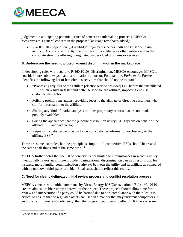

judgement in anticipating potential issues of concern as rulemaking proceeds. MEECA recognizes this general concept in the proposed language (emphasis added):

• R 460.10103 Separation. (3) A utility's regulated services *shall not subsidize in any manner, directly or indirectly,* the business of its affiliates or other entities within the corporate structure offering unregulated value-added programs or services.

### **B. Underscore the need to protect against discrimination in the marketplace**

In developing rules with regard to R 460.10108 Discrimination, MEECA encourages MPSC to consider more subtle ways that discrimination can occur. For example, *Paths to the Future* identifies the following list of less obvious activities that should not be tolerated:

- "Processing requests of the affiliate [electric service provider] ESP before the unaffiliated ESP, which results in faster and better service for the affiliate, impacting end-use customer satisfaction;
- Policing prohibitions against providing leads to the affiliate or directing customers who call for information to the affiliate;
- Sharing any kind of market analysis or other proprietary reports that are not made publicly available;
- Giving the appearance that the [electric distribution utility] EDU speaks on behalf of the affiliate ESP and vice versa;
- Requesting customer permission to pass on customer information exclusively to the affiliate ESP."

These are some examples, but the principle is simple—all competitive ESPs should be treated the same at all times and at the same time."<sup>2</sup>

MEECA further notes that the list of concerns is not limited to circumstances in which a utility intentionally favors an affiliate provider. Unintentional discrimination can also result from, for instance, more familiar communication pathways between the utility and its affiliate as compared with an unknown third-party provider. Final rules should reflect this reality.

## **C. Need for clearly delineated initial review process and conflict resolution process**

MEECA concurs with initial comments by Direct Energy/IGS/Constellation: "Rule 460.10110 creates almost a rubber stamp approval of the project. These projects should allow time for a review and intervention if a party could be harmed due to non-compliance with the rules. It is critical to ensure that no regulated assets are used in a manner that may undercut competitors in an industry. If there is no deficiency, then the program could go into effect in 60 days or some

l <sup>2</sup> *Paths to the Future Report*, Page 9.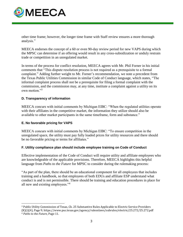

other time frame; however, the longer time frame with Staff review ensures a more thorough analysis."

MEECA endorses the concept of a 60 or even 90-day review period for new VAPS during which the MPSC can determine if an offering would result in any cross-subsidization or unduly restrain trade or competition in an unregulated market.

In terms of the process for conflict resolution, MEECA agrees with Mr. Phil Forner in his initial comments that "This dispute resolution process is not required as a prerequisite to a formal complaint." Adding further weight to Mr. Forner's recommendation, we note a precedent from the Texas Public Utilities Commission in similar Code of Conduct language, which states, "The informal complaint process shall not be a prerequisite for filing a formal complaint with the commission, and the commission may, at any time, institute a complaint against a utility on its own motion."<sup>3</sup>

### **D. Transparency of information**

MEECA concurs with initial comments by Michigan EIBC: "When the regulated utilities operate with their affiliates in the competitive market, the information they utilize should also be available to other market participants in the same timeframe, form and substance."

#### **E. No favorable pricing for VAPS**

 $\overline{a}$ 

MEECA concurs with initial comments by Michigan EIBC: "To ensure competition in the unregulated space, the utility must pay fully loaded prices for utility resources and there should be no favorable pricing or terms for affiliates."

#### **F. Utility compliance plan should include employee training on Code of Conduct**

Effective implementation of the Code of Conduct will require utility and affiliate employees who are knowledgeable of the applicable provisions. Therefore, MEECA highlights this helpful language from *Paths to the Future* for MPSC to consider during the rulemaking process:

"As part of the plan, there should be an educational component for all employees that includes training and a handbook, so that employees of both EDUs and affiliate ESP understand what conduct is and is not permissible. There should be training and education procedures in place for all new and existing employees."<sup>4</sup>

<sup>3</sup> Public Utility Commission of Texas, Ch. 25 Substantive Rules Applicable to Electric Service Providers (K)(i)(4), Page 9; https://www.puc.texas.gov/agency/rulesnlaws/subrules/electric/25.272/25.272.pdf <sup>4</sup> *Paths to the Future*, Page 11.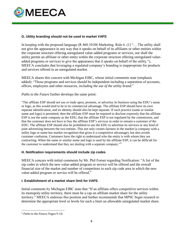

### **G. Utility branding should not be used to market VAPS**

In keeping with the proposed language (R 460.10106 Marketing. Rule 6. (1) "… The utility shall not give the appearance in any way that it speaks on behalf of its affiliates or other entities within the corporate structure offering unregulated value-added programs or services, nor shall the utility permit an affiliate or other entity within the corporate structure offering unregulated valueadded programs or services to give the appearance that it speaks on behalf of the utility."), MEECA concludes that leveraging a regulated company's branding is inappropriate for products and services offered in an unregulated market.

MEECA shares this concern with Michigan EIBC, whose initial comments state (emphasis added): "Those programs and services should be independent including a separation of accounts, offices, employees and other resources, *including the use of the utility brand*."

*Paths to the Future* further develops the same point:

"The affiliate ESP should not use or trade upon, promote, or advertise its business using the EDU's name or logo, as this would tend to be to its commercial advantage. The affiliate ESP should have its own separate identification, and its identity should also be kept separate. If such practice (same or similar name and logo) is permitted, then the affiliate ESP must be required to disclose expressly that the affiliate ESP is not the same company as the EDU, that the affiliate ESP is not regulated by the commission, and that the customer does not have to buy the affiliate ESP's services in order to remain a customer of the EDU. The affiliate ESP should also be prohibited to use the EDU to advertise its services or any kind of joint advertising between the two entities. This not only creates fairness in the market (a company with a utility logo or name has market recognition that gives it a competitive advantage), but also avoids customer confusion. Customers have the right to understand who the entity is with whom they are contracting. When the same or similar name and logo is used by the affiliate ESP, it can be difficult for the customer to understand that they are dealing with a separate company."<sup>5</sup>

#### **H. Notification requirements should include zip codes**

MEECA concurs with initial comments by Mr. Phil Forner regarding Notification: "A list of the zip codes in which the new value-added program or service will be offered and the overall financial size of the market and number of competitors in each zip code area in which the new value-added program or service will be offered."

#### **I. Establishment of a market share limit for VAPS**

Initial comments by Michigan EIBC state that "If an affiliate offers competitive services within its monopoly utility territory, there must be a cap on affiliate market share for the utility territory." MEECA endorses this position and further recommends that MPSC begin research to determine the appropriate level or levels for such a limit on allowable unregulated market share.

l

<sup>5</sup> *Paths to the Future*, Pages 9-10.